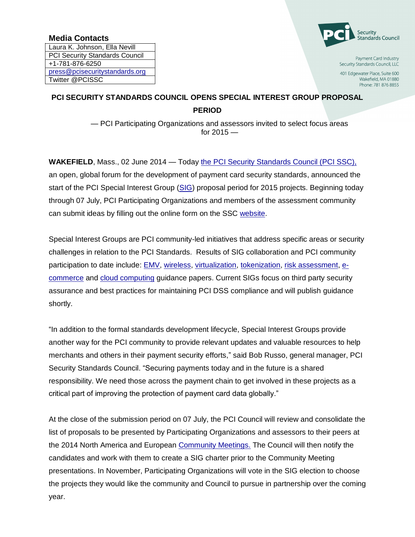## **Media Contacts**

Laura K. Johnson, Ella Nevill PCI Security Standards Council +1-781-876-6250 [press@pcisecuritystandards.org](mailto:press@pcisecuritystandards.org) Twitter @PCISSC



Payment Card Industry Security Standards Council, LLC

401 Edgewater Place, Suite 600 Wakefield, MA 01880 Phone: 781 876 8855

## **PCI SECURITY STANDARDS COUNCIL OPENS SPECIAL INTEREST GROUP PROPOSAL PERIOD**

— PCI Participating Organizations and assessors invited to select focus areas for  $2015 -$ 

**WAKEFIELD**, Mass., 02 June 2014 — Today [the PCI Security Standards Council \(PCI SSC\),](https://www.pcisecuritystandards.org/index.php) an open, global forum for the development of payment card security standards, announced the start of the PCI Special Interest Group [\(SIG\)](https://www.pcisecuritystandards.org/get_involved/special_interest_groups.php) proposal period for 2015 projects. Beginning today through 07 July, PCI Participating Organizations and members of the assessment community can submit ideas by filling out the online form on the SSC [website.](https://www.pcisecuritystandards.org/get_involved/special_interest_groups.php)

Special Interest Groups are PCI community-led initiatives that address specific areas or security challenges in relation to the PCI Standards. Results of SIG collaboration and PCI community participation to date include: **EMV**, [wireless,](https://www.pcisecuritystandards.org/pdfs/PCI_DSS_v2_Wireless_Guidelines.pdf) [virtualization,](https://www.pcisecuritystandards.org/documents/Virtualization_InfoSupp_v2.pdf) [tokenization,](https://www.pcisecuritystandards.org/documents/Tokenization_Guidelines_Info_Supplement.pdf) [risk assessment,](https://www.pcisecuritystandards.org/documents/PCI_DSS_v2_Risk_Assmt_Guidelines.pdf) [e](https://www.pcisecuritystandards.org/pdfs/PCI_DSS_v2_eCommerce_Guidelines.pdf)[commerce](https://www.pcisecuritystandards.org/pdfs/PCI_DSS_v2_eCommerce_Guidelines.pdf) and [cloud computing](https://www.pcisecuritystandards.org/pdfs/PCI_DSS_v2_Cloud_Guidelines.pdf) guidance papers. Current SIGs focus on third party security assurance and best practices for maintaining PCI DSS compliance and will publish guidance shortly.

"In addition to the formal standards development lifecycle, Special Interest Groups provide another way for the PCI community to provide relevant updates and valuable resources to help merchants and others in their payment security efforts," said Bob Russo, general manager, PCI Security Standards Council. "Securing payments today and in the future is a shared responsibility. We need those across the payment chain to get involved in these projects as a critical part of improving the protection of payment card data globally."

At the close of the submission period on 07 July, the PCI Council will review and consolidate the list of proposals to be presented by Participating Organizations and assessors to their peers at the 2014 North America and European [Community Meetings.](http://community.pcisecuritystandards.org/) The Council will then notify the candidates and work with them to create a SIG charter prior to the Community Meeting presentations. In November, Participating Organizations will vote in the SIG election to choose the projects they would like the community and Council to pursue in partnership over the coming year.